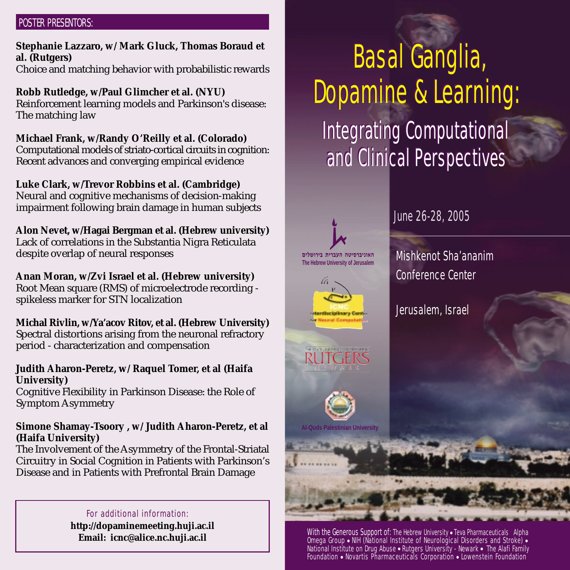# POSTER PRESENTORS:

**Stephanie Lazzaro, w/ Mark Gluck, Thomas Boraud et al. (Rutgers)** Choice and matching behavior with probabilistic rewards

**Robb Rutledge, w/Paul Glimcher et al. (NYU)** Reinforcement learning models and Parkinson's disease: The matching law

**Michael Frank, w/Randy O'Reilly et al. (Colorado)** Computational models of striato-cortical circuits in cognition: Recent advances and converging empirical evidence

**Luke Clark, w/Trevor Robbins et al. (Cambridge)** Neural and cognitive mechanisms of decision-making impairment following brain damage in human subjects

**Alon Nevet, w/Hagai Bergman et al. (Hebrew university)** Lack of correlations in the Substantia Nigra Reticulata despite overlap of neural responses

**Anan Moran, w/Zvi Israel et al. (Hebrew university)** Root Mean square (RMS) of microelectrode recording spikeless marker for STN localization

**Michal Rivlin, w/Ya'acov Ritov, et al. (Hebrew University)** Spectral distortions arising from the neuronal refractory period - characterization and compensation

**Judith Aharon-Peretz, w/ Raquel Tomer, et al (Haifa University)**

Cognitive Flexibility in Parkinson Disease: the Role of Symptom Asymmetry

# **Simone Shamay-Tsoory , w/ Judith Aharon-Peretz, et al (Haifa University)**

The Involvement of the Asymmetry of the Frontal-Striatal Circuitry in Social Cognition in Patients with Parkinson's Disease and in Patients with Prefrontal Brain Damage

> For additional information: **http://dopaminemeeting.huji.ac.il Email: icnc@alice.nc.huji.ac.il**

# Basal Ganglia, Basal Ganglia, Dopamine & Learning: Dopamine & Learning: Integrating Computational Integrating Computational and Clinical Perspectives and Clinical Perspectives



June 26-28, 2005

Mishkenot Sha'ananim Conference Center

Jerusalem, Israel

With the Generous Support of: The Hebrew University . Teva Pharmaceuticals Alpha Omega Group ● NIH (National Institute of Neurological Disorders and Stroke) ● National Institute on Drug Abuse ● Rutgers University - Newark ● The Alafi Family Foundation ● Novartis Pharmaceuticals Corporation ● Lowenstein Foundation